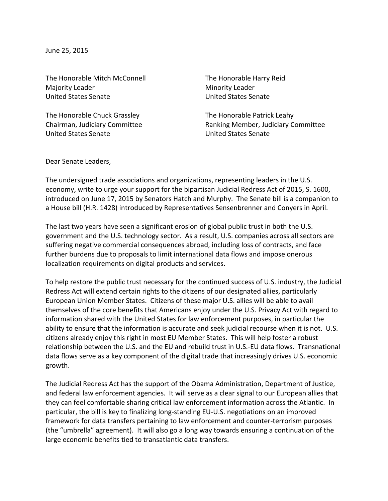June 25, 2015

The Honorable Mitch McConnell The Honorable Harry Reid Majority Leader **Minority** Leader United States Senate United States Senate

The Honorable Chuck Grassley The Honorable Patrick Leahy United States Senate United States Senate

Chairman, Judiciary Committee **Ranking Member, Judiciary Committee** 

Dear Senate Leaders,

The undersigned trade associations and organizations, representing leaders in the U.S. economy, write to urge your support for the bipartisan Judicial Redress Act of 2015, S. 1600, introduced on June 17, 2015 by Senators Hatch and Murphy. The Senate bill is a companion to a House bill (H.R. 1428) introduced by Representatives Sensenbrenner and Conyers in April.

The last two years have seen a significant erosion of global public trust in both the U.S. government and the U.S. technology sector. As a result, U.S. companies across all sectors are suffering negative commercial consequences abroad, including loss of contracts, and face further burdens due to proposals to limit international data flows and impose onerous localization requirements on digital products and services.

To help restore the public trust necessary for the continued success of U.S. industry, the Judicial Redress Act will extend certain rights to the citizens of our designated allies, particularly European Union Member States. Citizens of these major U.S. allies will be able to avail themselves of the core benefits that Americans enjoy under the U.S. Privacy Act with regard to information shared with the United States for law enforcement purposes, in particular the ability to ensure that the information is accurate and seek judicial recourse when it is not. U.S. citizens already enjoy this right in most EU Member States. This will help foster a robust relationship between the U.S. and the EU and rebuild trust in U.S.-EU data flows. Transnational data flows serve as a key component of the digital trade that increasingly drives U.S. economic growth.

The Judicial Redress Act has the support of the Obama Administration, Department of Justice, and federal law enforcement agencies. It will serve as a clear signal to our European allies that they can feel comfortable sharing critical law enforcement information across the Atlantic. In particular, the bill is key to finalizing long-standing EU-U.S. negotiations on an improved framework for data transfers pertaining to law enforcement and counter-terrorism purposes (the "umbrella" agreement). It will also go a long way towards ensuring a continuation of the large economic benefits tied to transatlantic data transfers.